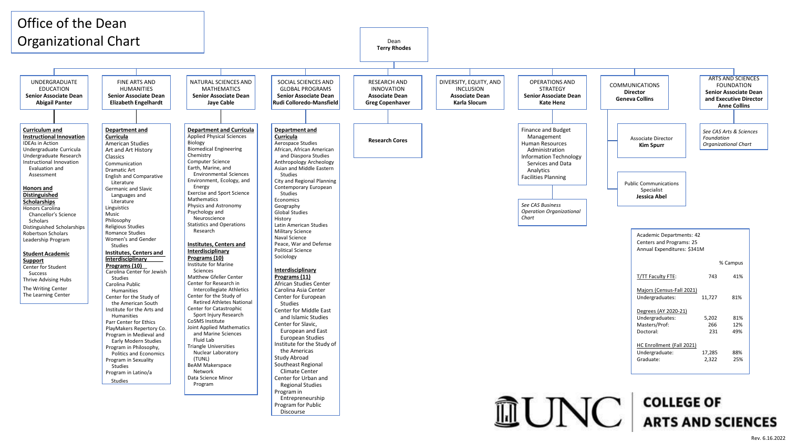

Rev. 6.16.2022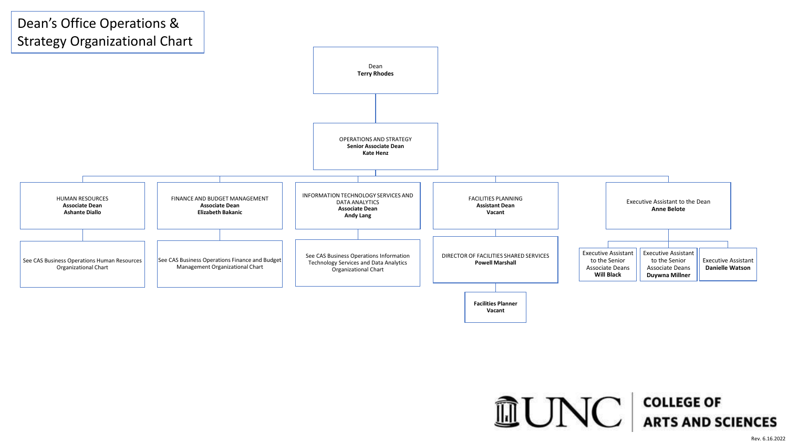

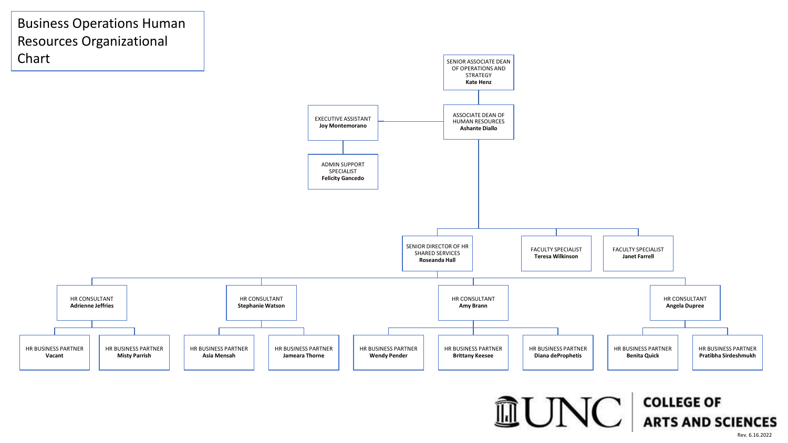

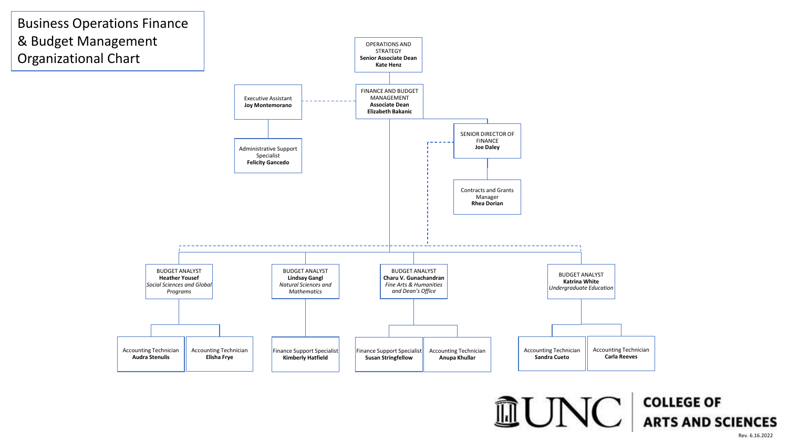

Rev. 6.16.2022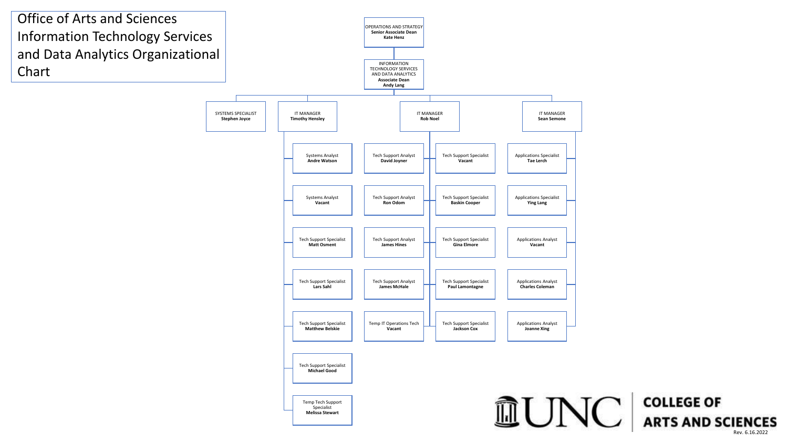

Rev. 6.16.2022